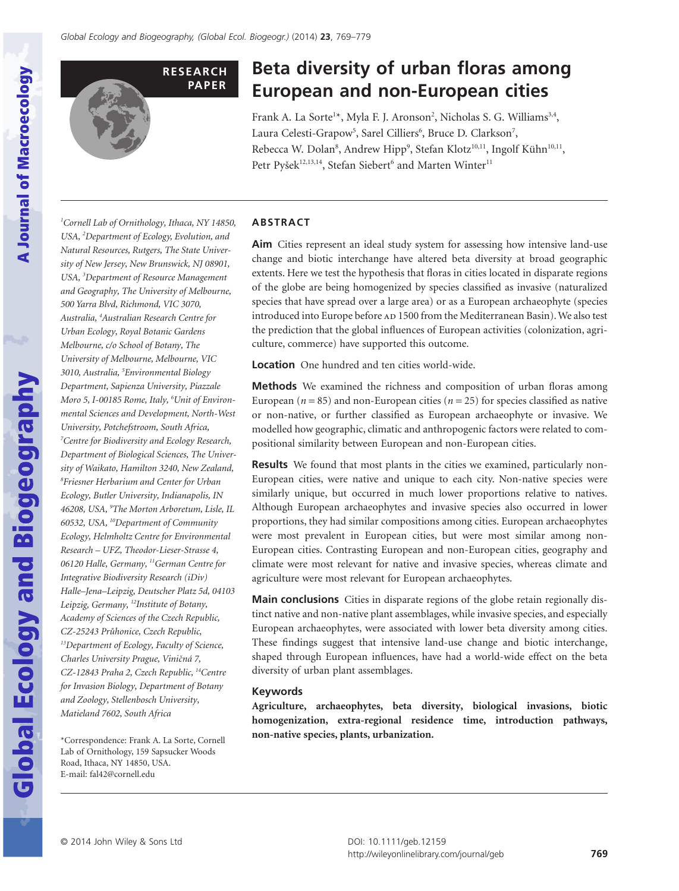

# **Beta diversity of urban floras among European and non-European cities**

Frank A. La Sorte<sup>1\*</sup>, Myla F. J. Aronson<sup>2</sup>, Nicholas S. G. Williams<sup>3,4</sup>, Laura Celesti-Grapow<sup>5</sup>, Sarel Cilliers<sup>6</sup>, Bruce D. Clarkson<sup>7</sup>, Rebecca W. Dolan<sup>8</sup>, Andrew Hipp<sup>9</sup>, Stefan Klotz<sup>10,11</sup>, Ingolf Kühn<sup>10,11</sup>, Petr Pyšek<sup>12,13,14</sup>, Stefan Siebert<sup>6</sup> and Marten Winter<sup>11</sup>

*1 Cornell Lab of Ornithology, Ithaca, NY 14850, USA, <sup>2</sup> Department of Ecology, Evolution, and Natural Resources, Rutgers, The State University of New Jersey, New Brunswick, NJ 08901, USA, <sup>3</sup> Department of Resource Management and Geography, The University of Melbourne, 500 Yarra Blvd, Richmond, VIC 3070, Australia, <sup>4</sup> Australian Research Centre for Urban Ecology, Royal Botanic Gardens Melbourne, c/o School of Botany, The University of Melbourne, Melbourne, VIC 3010, Australia, <sup>5</sup> Environmental Biology Department, Sapienza University, Piazzale Moro 5, I-00185 Rome, Italy, <sup>6</sup> Unit of Environmental Sciences and Development, North-West University, Potchefstroom, South Africa, 7 Centre for Biodiversity and Ecology Research, Department of Biological Sciences, The University of Waikato, Hamilton 3240, New Zealand, 8 Friesner Herbarium and Center for Urban Ecology, Butler University, Indianapolis, IN 46208, USA, <sup>9</sup> The Morton Arboretum, Lisle, IL 60532, USA, 10Department of Community Ecology, Helmholtz Centre for Environmental Research – UFZ, Theodor-Lieser-Strasse 4, 06120 Halle, Germany, 11German Centre for Integrative Biodiversity Research (iDiv) Halle–Jena–Leipzig, Deutscher Platz 5d, 04103 Leipzig, Germany, 12Institute of Botany, Academy of Sciences of the Czech Republic, CZ-25243 Pru˚honice, Czech Republic, 13Department of Ecology, Faculty of Science, Charles University Prague, Vinicˇná 7, CZ-12843 Praha 2, Czech Republic, 14Centre for Invasion Biology, Department of Botany and Zoology, Stellenbosch University, Matieland 7602, South Africa*

Lab of Ornithology, 159 Sapsucker Woods Road, Ithaca, NY 14850, USA. E-mail: fal42@cornell.edu

# **ABSTRACT**

**Aim** Cities represent an ideal study system for assessing how intensive land-use change and biotic interchange have altered beta diversity at broad geographic extents. Here we test the hypothesis that floras in cities located in disparate regions of the globe are being homogenized by species classified as invasive (naturalized species that have spread over a large area) or as a European archaeophyte (species introduced into Europe before AD 1500 from the Mediterranean Basin). We also test the prediction that the global influences of European activities (colonization, agriculture, commerce) have supported this outcome.

**Location** One hundred and ten cities world-wide.

**Methods** We examined the richness and composition of urban floras among European ( $n = 85$ ) and non-European cities ( $n = 25$ ) for species classified as native or non-native, or further classified as European archaeophyte or invasive. We modelled how geographic, climatic and anthropogenic factors were related to compositional similarity between European and non-European cities.

**Results** We found that most plants in the cities we examined, particularly non-European cities, were native and unique to each city. Non-native species were similarly unique, but occurred in much lower proportions relative to natives. Although European archaeophytes and invasive species also occurred in lower proportions, they had similar compositions among cities. European archaeophytes were most prevalent in European cities, but were most similar among non-European cities. Contrasting European and non-European cities, geography and climate were most relevant for native and invasive species, whereas climate and agriculture were most relevant for European archaeophytes.

**Main conclusions** Cities in disparate regions of the globe retain regionally distinct native and non-native plant assemblages, while invasive species, and especially European archaeophytes, were associated with lower beta diversity among cities. These findings suggest that intensive land-use change and biotic interchange, shaped through European influences, have had a world-wide effect on the beta diversity of urban plant assemblages.

## **Keywords**

**Agriculture, archaeophytes, beta diversity, biological invasions, biotic homogenization, extra-regional residence time, introduction pathways, non-native species, plants, urbanization.** \*Correspondence: Frank A. La Sorte, Cornell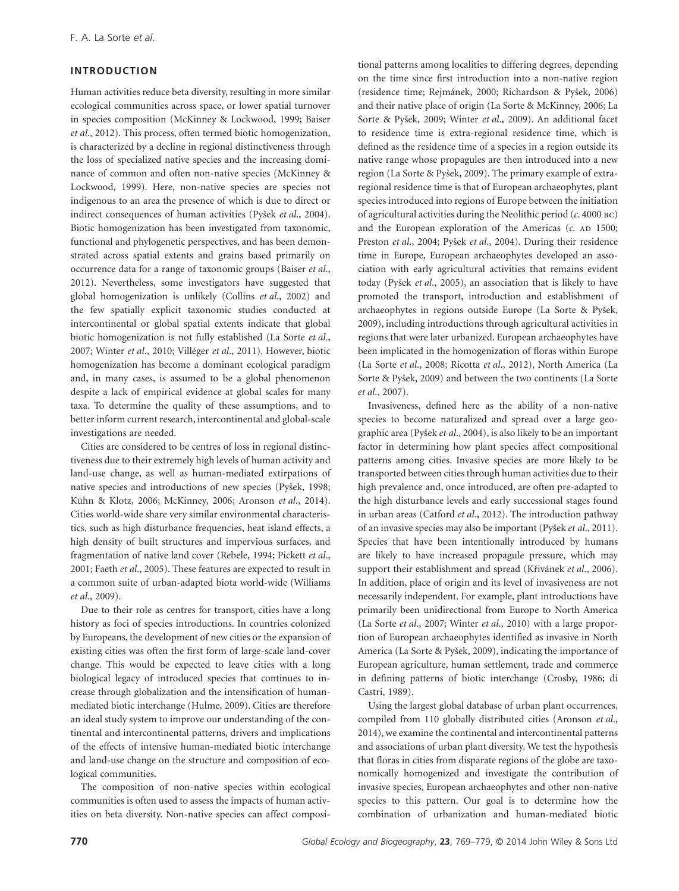# **INTRODUCTION**

Human activities reduce beta diversity, resulting in more similar ecological communities across space, or lower spatial turnover in species composition (McKinney & Lockwood, 1999; Baiser *et al*., 2012). This process, often termed biotic homogenization, is characterized by a decline in regional distinctiveness through the loss of specialized native species and the increasing dominance of common and often non-native species (McKinney & Lockwood, 1999). Here, non-native species are species not indigenous to an area the presence of which is due to direct or indirect consequences of human activities (Pyšek *et al*., 2004). Biotic homogenization has been investigated from taxonomic, functional and phylogenetic perspectives, and has been demonstrated across spatial extents and grains based primarily on occurrence data for a range of taxonomic groups (Baiser *et al*., 2012). Nevertheless, some investigators have suggested that global homogenization is unlikely (Collins *et al*., 2002) and the few spatially explicit taxonomic studies conducted at intercontinental or global spatial extents indicate that global biotic homogenization is not fully established (La Sorte *et al*., 2007; Winter *et al*., 2010; Villéger *et al*., 2011). However, biotic homogenization has become a dominant ecological paradigm and, in many cases, is assumed to be a global phenomenon despite a lack of empirical evidence at global scales for many taxa. To determine the quality of these assumptions, and to better inform current research, intercontinental and global-scale investigations are needed.

Cities are considered to be centres of loss in regional distinctiveness due to their extremely high levels of human activity and land-use change, as well as human-mediated extirpations of native species and introductions of new species (Pyšek, 1998; Kühn & Klotz, 2006; McKinney, 2006; Aronson *et al*., 2014). Cities world-wide share very similar environmental characteristics, such as high disturbance frequencies, heat island effects, a high density of built structures and impervious surfaces, and fragmentation of native land cover (Rebele, 1994; Pickett *et al*., 2001; Faeth *et al*., 2005). These features are expected to result in a common suite of urban-adapted biota world-wide (Williams *et al*., 2009).

Due to their role as centres for transport, cities have a long history as foci of species introductions. In countries colonized by Europeans, the development of new cities or the expansion of existing cities was often the first form of large-scale land-cover change. This would be expected to leave cities with a long biological legacy of introduced species that continues to increase through globalization and the intensification of humanmediated biotic interchange (Hulme, 2009). Cities are therefore an ideal study system to improve our understanding of the continental and intercontinental patterns, drivers and implications of the effects of intensive human-mediated biotic interchange and land-use change on the structure and composition of ecological communities.

The composition of non-native species within ecological communities is often used to assess the impacts of human activities on beta diversity. Non-native species can affect compositional patterns among localities to differing degrees, depending on the time since first introduction into a non-native region (residence time; Rejmánek, 2000; Richardson & Pyšek, 2006) and their native place of origin (La Sorte & McKinney, 2006; La Sorte & Pyšek, 2009; Winter *et al*., 2009). An additional facet to residence time is extra-regional residence time, which is defined as the residence time of a species in a region outside its native range whose propagules are then introduced into a new region (La Sorte & Pyšek, 2009). The primary example of extraregional residence time is that of European archaeophytes, plant species introduced into regions of Europe between the initiation of agricultural activities during the Neolithic period (*c*. 4000 bc) and the European exploration of the Americas (*c*. AD 1500; Preston *et al*., 2004; Pyšek *et al*., 2004). During their residence time in Europe, European archaeophytes developed an association with early agricultural activities that remains evident today (Pyšek *et al*., 2005), an association that is likely to have promoted the transport, introduction and establishment of archaeophytes in regions outside Europe (La Sorte & Pyšek, 2009), including introductions through agricultural activities in regions that were later urbanized. European archaeophytes have been implicated in the homogenization of floras within Europe (La Sorte *et al*., 2008; Ricotta *et al*., 2012), North America (La Sorte & Pyšek, 2009) and between the two continents (La Sorte *et al*., 2007).

Invasiveness, defined here as the ability of a non-native species to become naturalized and spread over a large geographic area (Pyšek *et al*., 2004), is also likely to be an important factor in determining how plant species affect compositional patterns among cities. Invasive species are more likely to be transported between cities through human activities due to their high prevalence and, once introduced, are often pre-adapted to the high disturbance levels and early successional stages found in urban areas (Catford *et al*., 2012). The introduction pathway of an invasive species may also be important (Pyšek *et al*., 2011). Species that have been intentionally introduced by humans are likely to have increased propagule pressure, which may support their establishment and spread (Křivánek et al., 2006). In addition, place of origin and its level of invasiveness are not necessarily independent. For example, plant introductions have primarily been unidirectional from Europe to North America (La Sorte *et al*., 2007; Winter *et al*., 2010) with a large proportion of European archaeophytes identified as invasive in North America (La Sorte & Pyšek, 2009), indicating the importance of European agriculture, human settlement, trade and commerce in defining patterns of biotic interchange (Crosby, 1986; di Castri, 1989).

Using the largest global database of urban plant occurrences, compiled from 110 globally distributed cities (Aronson *et al*., 2014), we examine the continental and intercontinental patterns and associations of urban plant diversity. We test the hypothesis that floras in cities from disparate regions of the globe are taxonomically homogenized and investigate the contribution of invasive species, European archaeophytes and other non-native species to this pattern. Our goal is to determine how the combination of urbanization and human-mediated biotic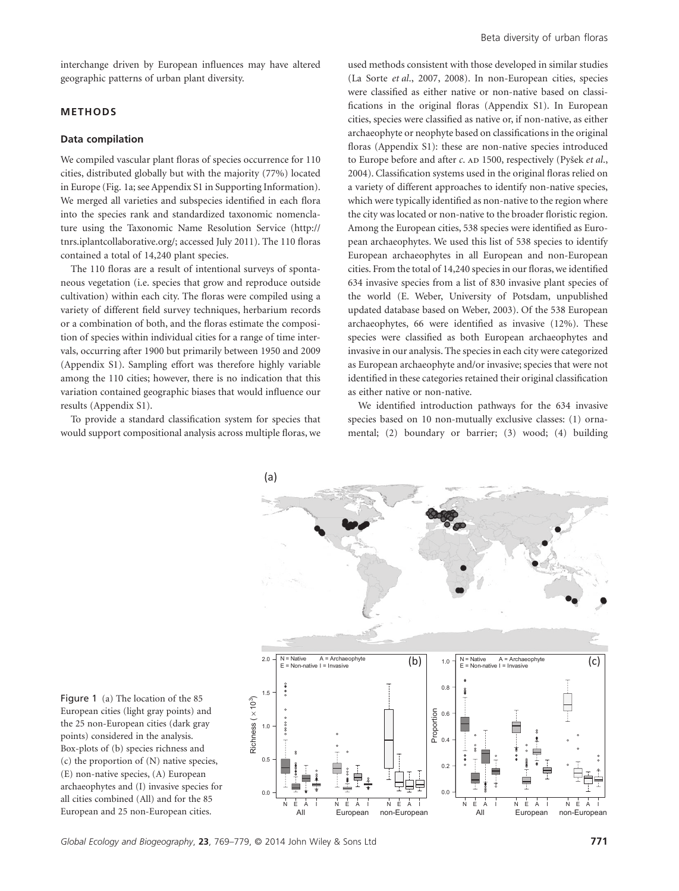interchange driven by European influences may have altered geographic patterns of urban plant diversity.

# **METHODS**

#### **Data compilation**

We compiled vascular plant floras of species occurrence for 110 cities, distributed globally but with the majority (77%) located in Europe (Fig. 1a; see Appendix S1 in Supporting Information). We merged all varieties and subspecies identified in each flora into the species rank and standardized taxonomic nomenclature using the Taxonomic Name Resolution Service (http:// tnrs.iplantcollaborative.org/; accessed July 2011). The 110 floras contained a total of 14,240 plant species.

The 110 floras are a result of intentional surveys of spontaneous vegetation (i.e. species that grow and reproduce outside cultivation) within each city. The floras were compiled using a variety of different field survey techniques, herbarium records or a combination of both, and the floras estimate the composition of species within individual cities for a range of time intervals, occurring after 1900 but primarily between 1950 and 2009 (Appendix S1). Sampling effort was therefore highly variable among the 110 cities; however, there is no indication that this variation contained geographic biases that would influence our results (Appendix S1).

To provide a standard classification system for species that would support compositional analysis across multiple floras, we used methods consistent with those developed in similar studies (La Sorte *et al*., 2007, 2008). In non-European cities, species were classified as either native or non-native based on classifications in the original floras (Appendix S1). In European cities, species were classified as native or, if non-native, as either archaeophyte or neophyte based on classifications in the original floras (Appendix S1): these are non-native species introduced to Europe before and after *c*. AD 1500, respectively (Pyšek *et al.*, 2004). Classification systems used in the original floras relied on a variety of different approaches to identify non-native species, which were typically identified as non-native to the region where the city was located or non-native to the broader floristic region. Among the European cities, 538 species were identified as European archaeophytes. We used this list of 538 species to identify European archaeophytes in all European and non-European cities. From the total of 14,240 species in our floras, we identified 634 invasive species from a list of 830 invasive plant species of the world (E. Weber, University of Potsdam, unpublished updated database based on Weber, 2003). Of the 538 European archaeophytes, 66 were identified as invasive (12%). These species were classified as both European archaeophytes and invasive in our analysis. The species in each city were categorized as European archaeophyte and/or invasive; species that were not identified in these categories retained their original classification as either native or non-native.

We identified introduction pathways for the 634 invasive species based on 10 non-mutually exclusive classes: (1) ornamental; (2) boundary or barrier; (3) wood; (4) building



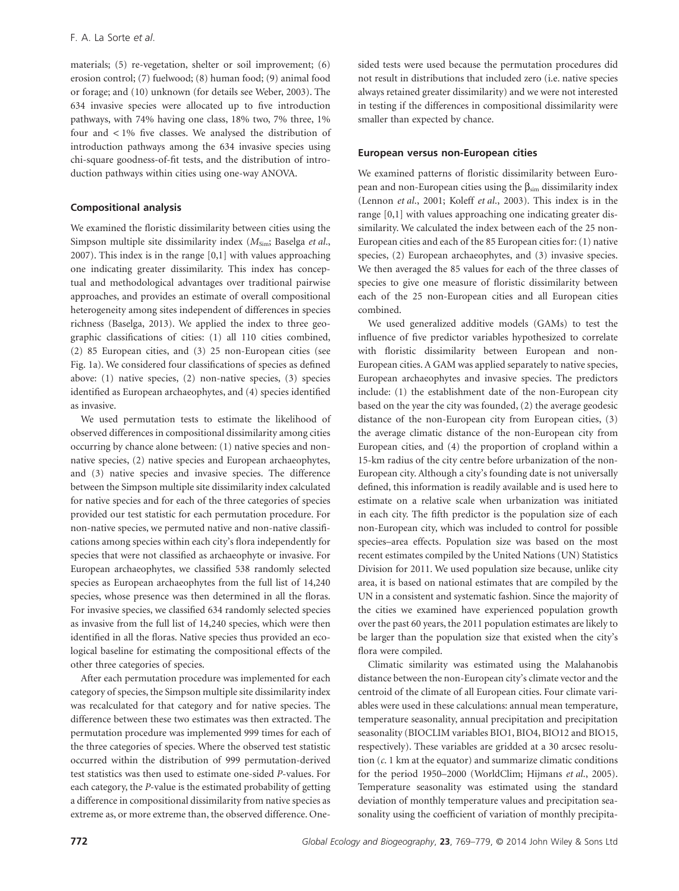materials; (5) re-vegetation, shelter or soil improvement; (6) erosion control; (7) fuelwood; (8) human food; (9) animal food or forage; and (10) unknown (for details see Weber, 2003). The 634 invasive species were allocated up to five introduction pathways, with 74% having one class, 18% two, 7% three, 1% four and < 1% five classes. We analysed the distribution of introduction pathways among the 634 invasive species using chi-square goodness-of-fit tests, and the distribution of introduction pathways within cities using one-way ANOVA.

# **Compositional analysis**

We examined the floristic dissimilarity between cities using the Simpson multiple site dissimilarity index ( $M_{\text{Sim}}$ ; Baselga *et al.*, 2007). This index is in the range [0,1] with values approaching one indicating greater dissimilarity. This index has conceptual and methodological advantages over traditional pairwise approaches, and provides an estimate of overall compositional heterogeneity among sites independent of differences in species richness (Baselga, 2013). We applied the index to three geographic classifications of cities: (1) all 110 cities combined, (2) 85 European cities, and (3) 25 non-European cities (see Fig. 1a). We considered four classifications of species as defined above: (1) native species, (2) non-native species, (3) species identified as European archaeophytes, and (4) species identified as invasive.

We used permutation tests to estimate the likelihood of observed differences in compositional dissimilarity among cities occurring by chance alone between: (1) native species and nonnative species, (2) native species and European archaeophytes, and (3) native species and invasive species. The difference between the Simpson multiple site dissimilarity index calculated for native species and for each of the three categories of species provided our test statistic for each permutation procedure. For non-native species, we permuted native and non-native classifications among species within each city's flora independently for species that were not classified as archaeophyte or invasive. For European archaeophytes, we classified 538 randomly selected species as European archaeophytes from the full list of 14,240 species, whose presence was then determined in all the floras. For invasive species, we classified 634 randomly selected species as invasive from the full list of 14,240 species, which were then identified in all the floras. Native species thus provided an ecological baseline for estimating the compositional effects of the other three categories of species.

After each permutation procedure was implemented for each category of species, the Simpson multiple site dissimilarity index was recalculated for that category and for native species. The difference between these two estimates was then extracted. The permutation procedure was implemented 999 times for each of the three categories of species. Where the observed test statistic occurred within the distribution of 999 permutation-derived test statistics was then used to estimate one-sided *P*-values. For each category, the *P*-value is the estimated probability of getting a difference in compositional dissimilarity from native species as extreme as, or more extreme than, the observed difference. Onesided tests were used because the permutation procedures did not result in distributions that included zero (i.e. native species always retained greater dissimilarity) and we were not interested in testing if the differences in compositional dissimilarity were smaller than expected by chance.

# **European versus non-European cities**

We examined patterns of floristic dissimilarity between European and non-European cities using the  $β<sub>sim</sub>$  dissimilarity index (Lennon *et al*., 2001; Koleff *et al*., 2003). This index is in the range [0,1] with values approaching one indicating greater dissimilarity. We calculated the index between each of the 25 non-European cities and each of the 85 European cities for: (1) native species, (2) European archaeophytes, and (3) invasive species. We then averaged the 85 values for each of the three classes of species to give one measure of floristic dissimilarity between each of the 25 non-European cities and all European cities combined.

We used generalized additive models (GAMs) to test the influence of five predictor variables hypothesized to correlate with floristic dissimilarity between European and non-European cities. A GAM was applied separately to native species, European archaeophytes and invasive species. The predictors include: (1) the establishment date of the non-European city based on the year the city was founded, (2) the average geodesic distance of the non-European city from European cities, (3) the average climatic distance of the non-European city from European cities, and (4) the proportion of cropland within a 15-km radius of the city centre before urbanization of the non-European city. Although a city's founding date is not universally defined, this information is readily available and is used here to estimate on a relative scale when urbanization was initiated in each city. The fifth predictor is the population size of each non-European city, which was included to control for possible species–area effects. Population size was based on the most recent estimates compiled by the United Nations (UN) Statistics Division for 2011. We used population size because, unlike city area, it is based on national estimates that are compiled by the UN in a consistent and systematic fashion. Since the majority of the cities we examined have experienced population growth over the past 60 years, the 2011 population estimates are likely to be larger than the population size that existed when the city's flora were compiled.

Climatic similarity was estimated using the Malahanobis distance between the non-European city's climate vector and the centroid of the climate of all European cities. Four climate variables were used in these calculations: annual mean temperature, temperature seasonality, annual precipitation and precipitation seasonality (BIOCLIM variables BIO1, BIO4, BIO12 and BIO15, respectively). These variables are gridded at a 30 arcsec resolution (*c*. 1 km at the equator) and summarize climatic conditions for the period 1950–2000 (WorldClim; Hijmans *et al*., 2005). Temperature seasonality was estimated using the standard deviation of monthly temperature values and precipitation seasonality using the coefficient of variation of monthly precipita-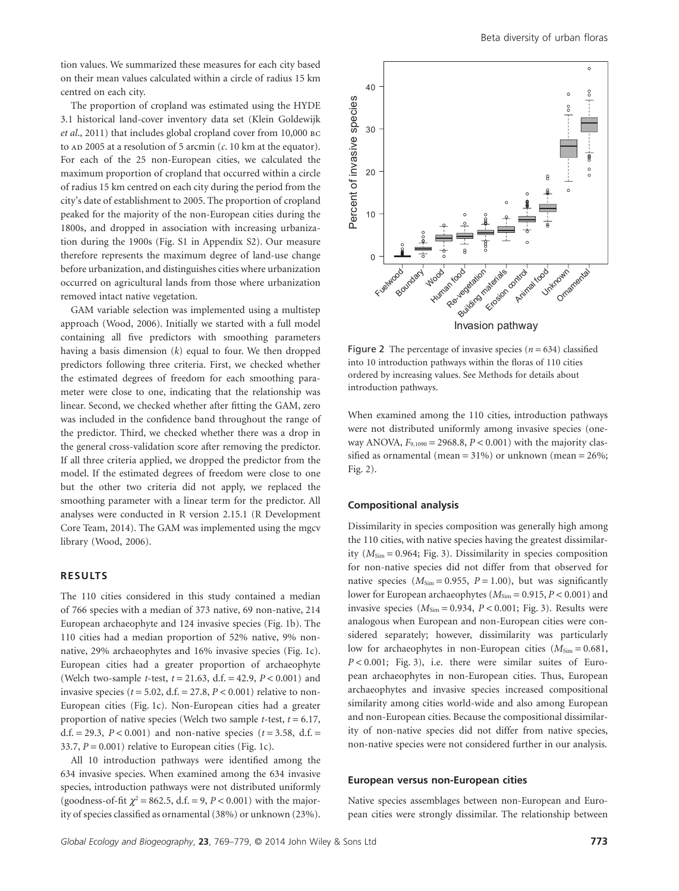tion values. We summarized these measures for each city based on their mean values calculated within a circle of radius 15 km centred on each city.

The proportion of cropland was estimated using the HYDE 3.1 historical land-cover inventory data set (Klein Goldewijk *et al*., 2011) that includes global cropland cover from 10,000 bc to  $AD$  2005 at a resolution of 5 arcmin ( $c$ . 10 km at the equator). For each of the 25 non-European cities, we calculated the maximum proportion of cropland that occurred within a circle of radius 15 km centred on each city during the period from the city's date of establishment to 2005. The proportion of cropland peaked for the majority of the non-European cities during the 1800s, and dropped in association with increasing urbanization during the 1900s (Fig. S1 in Appendix S2). Our measure therefore represents the maximum degree of land-use change before urbanization, and distinguishes cities where urbanization occurred on agricultural lands from those where urbanization removed intact native vegetation.

GAM variable selection was implemented using a multistep approach (Wood, 2006). Initially we started with a full model containing all five predictors with smoothing parameters having a basis dimension (*k*) equal to four. We then dropped predictors following three criteria. First, we checked whether the estimated degrees of freedom for each smoothing parameter were close to one, indicating that the relationship was linear. Second, we checked whether after fitting the GAM, zero was included in the confidence band throughout the range of the predictor. Third, we checked whether there was a drop in the general cross-validation score after removing the predictor. If all three criteria applied, we dropped the predictor from the model. If the estimated degrees of freedom were close to one but the other two criteria did not apply, we replaced the smoothing parameter with a linear term for the predictor. All analyses were conducted in R version 2.15.1 (R Development Core Team, 2014). The GAM was implemented using the mgcv library (Wood, 2006).

## **RESULTS**

The 110 cities considered in this study contained a median of 766 species with a median of 373 native, 69 non-native, 214 European archaeophyte and 124 invasive species (Fig. 1b). The 110 cities had a median proportion of 52% native, 9% nonnative, 29% archaeophytes and 16% invasive species (Fig. 1c). European cities had a greater proportion of archaeophyte (Welch two-sample *t*-test, *t* = 21.63, d.f. = 42.9, *P* < 0.001) and invasive species ( $t = 5.02$ , d.f. = 27.8,  $P < 0.001$ ) relative to non-European cities (Fig. 1c). Non-European cities had a greater proportion of native species (Welch two sample *t*-test, *t* = 6.17, d.f. = 29.3,  $P < 0.001$ ) and non-native species ( $t = 3.58$ , d.f. = 33.7,  $P = 0.001$ ) relative to European cities (Fig. 1c).

All 10 introduction pathways were identified among the 634 invasive species. When examined among the 634 invasive species, introduction pathways were not distributed uniformly (goodness-of-fit  $\chi^2 = 862.5$ , d.f. = 9, *P* < 0.001) with the majority of species classified as ornamental (38%) or unknown (23%).



**Figure 2** The percentage of invasive species ( $n = 634$ ) classified into 10 introduction pathways within the floras of 110 cities ordered by increasing values. See Methods for details about introduction pathways.

When examined among the 110 cities, introduction pathways were not distributed uniformly among invasive species (oneway ANOVA,  $F_{9,1090} = 2968.8$ ,  $P < 0.001$ ) with the majority classified as ornamental (mean =  $31\%$ ) or unknown (mean =  $26\%$ ; Fig. 2).

### **Compositional analysis**

Dissimilarity in species composition was generally high among the 110 cities, with native species having the greatest dissimilarity ( $M_{\text{Sim}}$  = 0.964; Fig. 3). Dissimilarity in species composition for non-native species did not differ from that observed for native species  $(M_{\text{Sim}} = 0.955, P = 1.00)$ , but was significantly lower for European archaeophytes ( $M_{\text{Sim}} = 0.915$ ,  $P < 0.001$ ) and invasive species  $(M_{\text{Sim}} = 0.934, P < 0.001;$  Fig. 3). Results were analogous when European and non-European cities were considered separately; however, dissimilarity was particularly low for archaeophytes in non-European cities  $(M_{\text{Sim}} = 0.681,$ *P* < 0.001; Fig. 3), i.e. there were similar suites of European archaeophytes in non-European cities. Thus, European archaeophytes and invasive species increased compositional similarity among cities world-wide and also among European and non-European cities. Because the compositional dissimilarity of non-native species did not differ from native species, non-native species were not considered further in our analysis.

#### **European versus non-European cities**

Native species assemblages between non-European and European cities were strongly dissimilar. The relationship between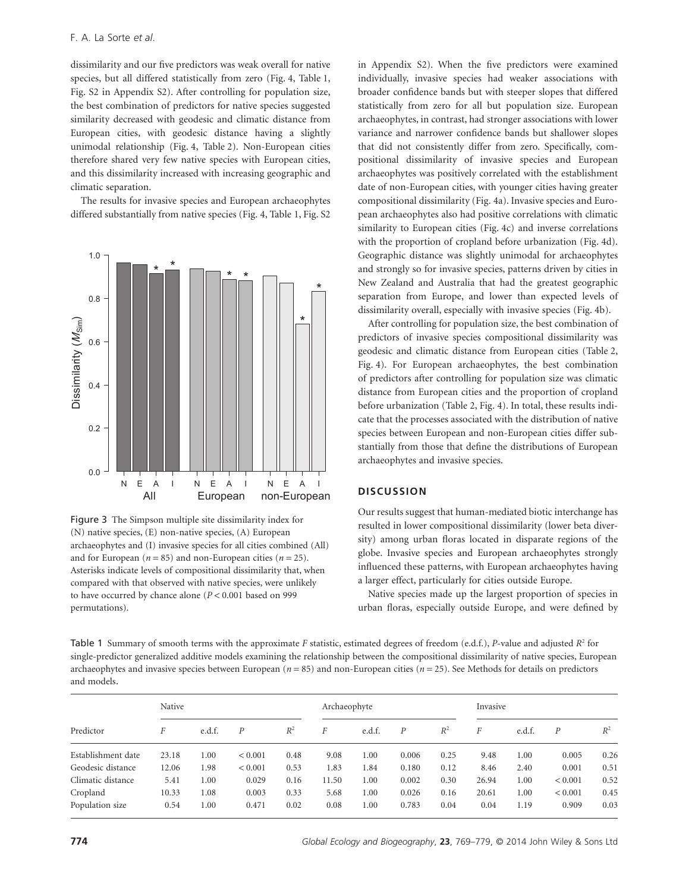dissimilarity and our five predictors was weak overall for native species, but all differed statistically from zero (Fig. 4, Table 1, Fig. S2 in Appendix S2). After controlling for population size, the best combination of predictors for native species suggested similarity decreased with geodesic and climatic distance from European cities, with geodesic distance having a slightly unimodal relationship (Fig. 4, Table 2). Non-European cities therefore shared very few native species with European cities, and this dissimilarity increased with increasing geographic and climatic separation.

The results for invasive species and European archaeophytes differed substantially from native species (Fig. 4, Table 1, Fig. S2



Figure 3 The Simpson multiple site dissimilarity index for (N) native species, (E) non-native species, (A) European archaeophytes and (I) invasive species for all cities combined (All) and for European ( $n = 85$ ) and non-European cities ( $n = 25$ ). Asterisks indicate levels of compositional dissimilarity that, when compared with that observed with native species, were unlikely to have occurred by chance alone (*P* < 0.001 based on 999 permutations).

in Appendix S2). When the five predictors were examined individually, invasive species had weaker associations with broader confidence bands but with steeper slopes that differed statistically from zero for all but population size. European archaeophytes, in contrast, had stronger associations with lower variance and narrower confidence bands but shallower slopes that did not consistently differ from zero. Specifically, compositional dissimilarity of invasive species and European archaeophytes was positively correlated with the establishment date of non-European cities, with younger cities having greater compositional dissimilarity (Fig. 4a). Invasive species and European archaeophytes also had positive correlations with climatic similarity to European cities (Fig. 4c) and inverse correlations with the proportion of cropland before urbanization (Fig. 4d). Geographic distance was slightly unimodal for archaeophytes and strongly so for invasive species, patterns driven by cities in New Zealand and Australia that had the greatest geographic separation from Europe, and lower than expected levels of dissimilarity overall, especially with invasive species (Fig. 4b).

After controlling for population size, the best combination of predictors of invasive species compositional dissimilarity was geodesic and climatic distance from European cities (Table 2, Fig. 4). For European archaeophytes, the best combination of predictors after controlling for population size was climatic distance from European cities and the proportion of cropland before urbanization (Table 2, Fig. 4). In total, these results indicate that the processes associated with the distribution of native species between European and non-European cities differ substantially from those that define the distributions of European archaeophytes and invasive species.

# **DISCUSSION**

Our results suggest that human-mediated biotic interchange has resulted in lower compositional dissimilarity (lower beta diversity) among urban floras located in disparate regions of the globe. Invasive species and European archaeophytes strongly influenced these patterns, with European archaeophytes having a larger effect, particularly for cities outside Europe.

Native species made up the largest proportion of species in urban floras, especially outside Europe, and were defined by

Table 1 Summary of smooth terms with the approximate *F* statistic, estimated degrees of freedom (e.d.f.), *P*-value and adjusted *R*<sup>2</sup> for single-predictor generalized additive models examining the relationship between the compositional dissimilarity of native species, European archaeophytes and invasive species between European (*n* = 85) and non-European cities (*n* = 25). See Methods for details on predictors and models.

| Predictor          | Native |        |             |       | Archaeophyte |        |       |       | Invasive |        |             |       |
|--------------------|--------|--------|-------------|-------|--------------|--------|-------|-------|----------|--------|-------------|-------|
|                    | F      | e.d.f. | P           | $R^2$ | F            | e.d.f. | P     | $R^2$ | F        | e.d.f. | P           | $R^2$ |
| Establishment date | 23.18  | 1.00   | ${}< 0.001$ | 0.48  | 9.08         | 1.00   | 0.006 | 0.25  | 9.48     | 1.00   | 0.005       | 0.26  |
| Geodesic distance  | 12.06  | 1.98   | ${}< 0.001$ | 0.53  | 1.83         | 1.84   | 0.180 | 0.12  | 8.46     | 2.40   | 0.001       | 0.51  |
| Climatic distance  | 5.41   | 1.00   | 0.029       | 0.16  | 11.50        | 1.00   | 0.002 | 0.30  | 26.94    | 1.00   | ${}< 0.001$ | 0.52  |
| Cropland           | 10.33  | 1.08   | 0.003       | 0.33  | 5.68         | 1.00   | 0.026 | 0.16  | 20.61    | 1.00   | ${}< 0.001$ | 0.45  |
| Population size    | 0.54   | 1.00   | 0.471       | 0.02  | 0.08         | 1.00   | 0.783 | 0.04  | 0.04     | 1.19   | 0.909       | 0.03  |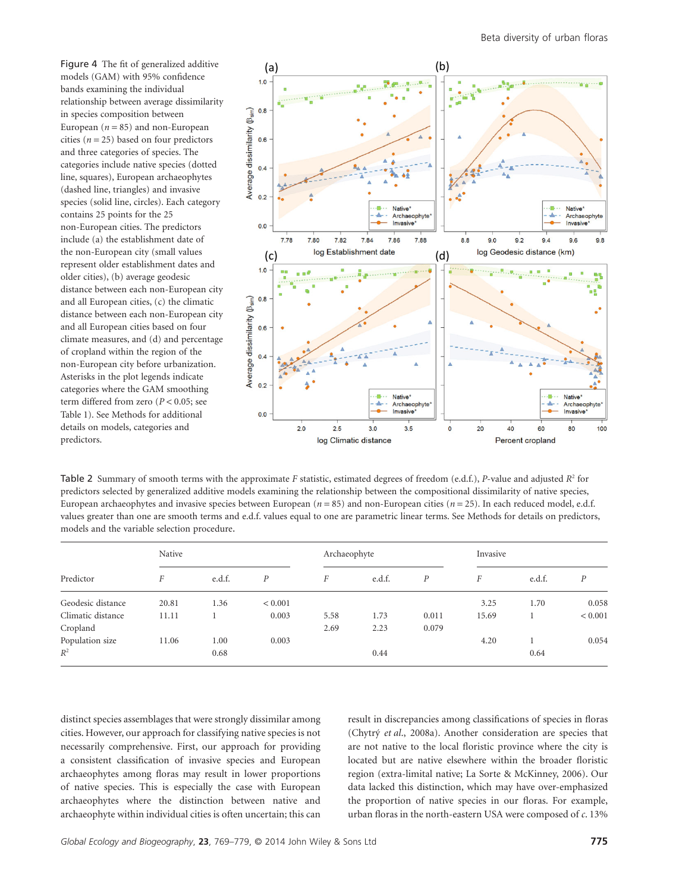Figure 4 The fit of generalized additive models (GAM) with 95% confidence bands examining the individual relationship between average dissimilarity in species composition between European  $(n = 85)$  and non-European cities ( $n = 25$ ) based on four predictors and three categories of species. The categories include native species (dotted line, squares), European archaeophytes (dashed line, triangles) and invasive species (solid line, circles). Each category contains 25 points for the 25 non-European cities. The predictors include (a) the establishment date of the non-European city (small values represent older establishment dates and older cities), (b) average geodesic distance between each non-European city and all European cities, (c) the climatic distance between each non-European city and all European cities based on four climate measures, and (d) and percentage of cropland within the region of the non-European city before urbanization. Asterisks in the plot legends indicate categories where the GAM smoothing term differed from zero (*P* < 0.05; see Table 1). See Methods for additional details on models, categories and predictors.



Table 2 Summary of smooth terms with the approximate *F* statistic, estimated degrees of freedom (e.d.f.), *P*-value and adjusted *R*<sup>2</sup> for predictors selected by generalized additive models examining the relationship between the compositional dissimilarity of native species, European archaeophytes and invasive species between European (*n* = 85) and non-European cities (*n* = 25). In each reduced model, e.d.f. values greater than one are smooth terms and e.d.f. values equal to one are parametric linear terms. See Methods for details on predictors, models and the variable selection procedure.

| Predictor         | Native |        |         | Archaeophyte |        |                  | Invasive |        |         |
|-------------------|--------|--------|---------|--------------|--------|------------------|----------|--------|---------|
|                   | F      | e.d.f. | P       | F            | e.d.f. | $\boldsymbol{P}$ | F        | e.d.f. | Р       |
| Geodesic distance | 20.81  | 1.36   | < 0.001 |              |        |                  | 3.25     | 1.70   | 0.058   |
| Climatic distance | 11.11  |        | 0.003   | 5.58         | 1.73   | 0.011            | 15.69    |        | < 0.001 |
| Cropland          |        |        |         | 2.69         | 2.23   | 0.079            |          |        |         |
| Population size   | 11.06  | 1.00   | 0.003   |              |        |                  | 4.20     |        | 0.054   |
| $R^2$             |        | 0.68   |         |              | 0.44   |                  |          | 0.64   |         |

distinct species assemblages that were strongly dissimilar among cities. However, our approach for classifying native species is not necessarily comprehensive. First, our approach for providing a consistent classification of invasive species and European archaeophytes among floras may result in lower proportions of native species. This is especially the case with European archaeophytes where the distinction between native and archaeophyte within individual cities is often uncertain; this can result in discrepancies among classifications of species in floras (Chytrý *et al*., 2008a). Another consideration are species that are not native to the local floristic province where the city is located but are native elsewhere within the broader floristic region (extra-limital native; La Sorte & McKinney, 2006). Our data lacked this distinction, which may have over-emphasized the proportion of native species in our floras. For example, urban floras in the north-eastern USA were composed of *c*. 13%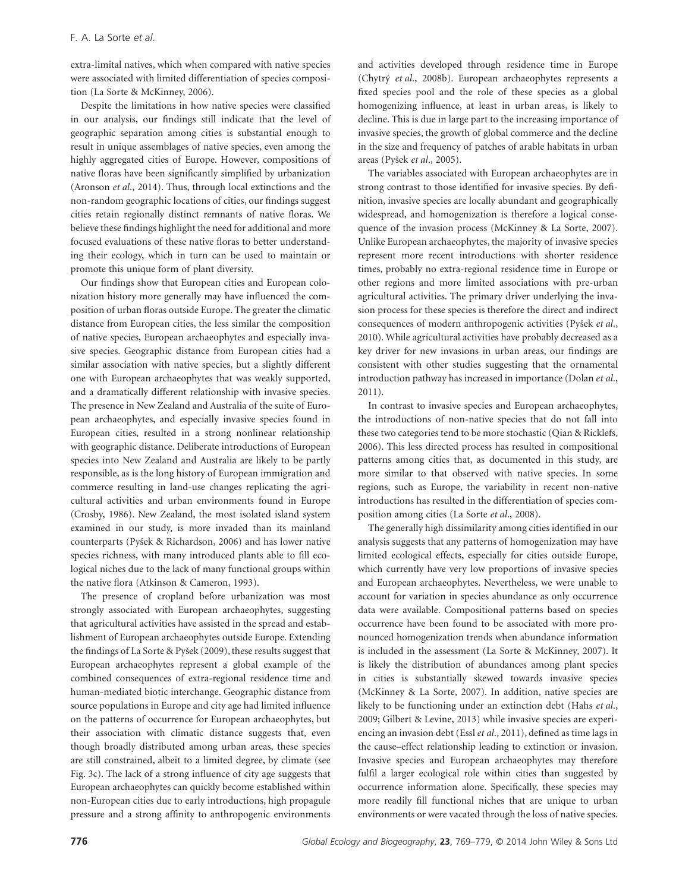extra-limital natives, which when compared with native species were associated with limited differentiation of species composition (La Sorte & McKinney, 2006).

Despite the limitations in how native species were classified in our analysis, our findings still indicate that the level of geographic separation among cities is substantial enough to result in unique assemblages of native species, even among the highly aggregated cities of Europe. However, compositions of native floras have been significantly simplified by urbanization (Aronson *et al*., 2014). Thus, through local extinctions and the non-random geographic locations of cities, our findings suggest cities retain regionally distinct remnants of native floras. We believe these findings highlight the need for additional and more focused evaluations of these native floras to better understanding their ecology, which in turn can be used to maintain or promote this unique form of plant diversity.

Our findings show that European cities and European colonization history more generally may have influenced the composition of urban floras outside Europe. The greater the climatic distance from European cities, the less similar the composition of native species, European archaeophytes and especially invasive species. Geographic distance from European cities had a similar association with native species, but a slightly different one with European archaeophytes that was weakly supported, and a dramatically different relationship with invasive species. The presence in New Zealand and Australia of the suite of European archaeophytes, and especially invasive species found in European cities, resulted in a strong nonlinear relationship with geographic distance. Deliberate introductions of European species into New Zealand and Australia are likely to be partly responsible, as is the long history of European immigration and commerce resulting in land-use changes replicating the agricultural activities and urban environments found in Europe (Crosby, 1986). New Zealand, the most isolated island system examined in our study, is more invaded than its mainland counterparts (Pyšek & Richardson, 2006) and has lower native species richness, with many introduced plants able to fill ecological niches due to the lack of many functional groups within the native flora (Atkinson & Cameron, 1993).

The presence of cropland before urbanization was most strongly associated with European archaeophytes, suggesting that agricultural activities have assisted in the spread and establishment of European archaeophytes outside Europe. Extending the findings of La Sorte & Pyšek (2009), these results suggest that European archaeophytes represent a global example of the combined consequences of extra-regional residence time and human-mediated biotic interchange. Geographic distance from source populations in Europe and city age had limited influence on the patterns of occurrence for European archaeophytes, but their association with climatic distance suggests that, even though broadly distributed among urban areas, these species are still constrained, albeit to a limited degree, by climate (see Fig. 3c). The lack of a strong influence of city age suggests that European archaeophytes can quickly become established within non-European cities due to early introductions, high propagule pressure and a strong affinity to anthropogenic environments and activities developed through residence time in Europe (Chytrý *et al*., 2008b). European archaeophytes represents a fixed species pool and the role of these species as a global homogenizing influence, at least in urban areas, is likely to decline. This is due in large part to the increasing importance of invasive species, the growth of global commerce and the decline in the size and frequency of patches of arable habitats in urban areas (Pyšek *et al*., 2005).

The variables associated with European archaeophytes are in strong contrast to those identified for invasive species. By definition, invasive species are locally abundant and geographically widespread, and homogenization is therefore a logical consequence of the invasion process (McKinney & La Sorte, 2007). Unlike European archaeophytes, the majority of invasive species represent more recent introductions with shorter residence times, probably no extra-regional residence time in Europe or other regions and more limited associations with pre-urban agricultural activities. The primary driver underlying the invasion process for these species is therefore the direct and indirect consequences of modern anthropogenic activities (Pyšek *et al*., 2010). While agricultural activities have probably decreased as a key driver for new invasions in urban areas, our findings are consistent with other studies suggesting that the ornamental introduction pathway has increased in importance (Dolan *et al*., 2011).

In contrast to invasive species and European archaeophytes, the introductions of non-native species that do not fall into these two categories tend to be more stochastic (Qian & Ricklefs, 2006). This less directed process has resulted in compositional patterns among cities that, as documented in this study, are more similar to that observed with native species. In some regions, such as Europe, the variability in recent non-native introductions has resulted in the differentiation of species composition among cities (La Sorte *et al*., 2008).

The generally high dissimilarity among cities identified in our analysis suggests that any patterns of homogenization may have limited ecological effects, especially for cities outside Europe, which currently have very low proportions of invasive species and European archaeophytes. Nevertheless, we were unable to account for variation in species abundance as only occurrence data were available. Compositional patterns based on species occurrence have been found to be associated with more pronounced homogenization trends when abundance information is included in the assessment (La Sorte & McKinney, 2007). It is likely the distribution of abundances among plant species in cities is substantially skewed towards invasive species (McKinney & La Sorte, 2007). In addition, native species are likely to be functioning under an extinction debt (Hahs *et al*., 2009; Gilbert & Levine, 2013) while invasive species are experiencing an invasion debt (Essl *et al*., 2011), defined as time lags in the cause–effect relationship leading to extinction or invasion. Invasive species and European archaeophytes may therefore fulfil a larger ecological role within cities than suggested by occurrence information alone. Specifically, these species may more readily fill functional niches that are unique to urban environments or were vacated through the loss of native species.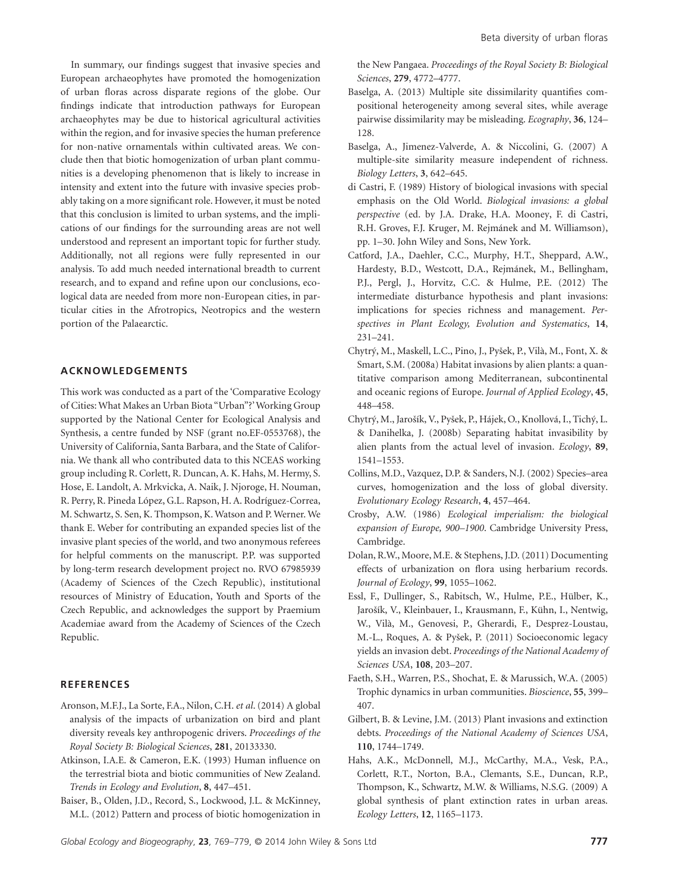In summary, our findings suggest that invasive species and European archaeophytes have promoted the homogenization of urban floras across disparate regions of the globe. Our findings indicate that introduction pathways for European archaeophytes may be due to historical agricultural activities within the region, and for invasive species the human preference for non-native ornamentals within cultivated areas. We conclude then that biotic homogenization of urban plant communities is a developing phenomenon that is likely to increase in intensity and extent into the future with invasive species probably taking on a more significant role. However, it must be noted that this conclusion is limited to urban systems, and the implications of our findings for the surrounding areas are not well understood and represent an important topic for further study. Additionally, not all regions were fully represented in our analysis. To add much needed international breadth to current research, and to expand and refine upon our conclusions, ecological data are needed from more non-European cities, in particular cities in the Afrotropics, Neotropics and the western portion of the Palaearctic.

# **ACKNOWLEDGEMENTS**

This work was conducted as a part of the 'Comparative Ecology of Cities: What Makes an Urban Biota "Urban"?' Working Group supported by the National Center for Ecological Analysis and Synthesis, a centre funded by NSF (grant no.EF-0553768), the University of California, Santa Barbara, and the State of California. We thank all who contributed data to this NCEAS working group including R. Corlett, R. Duncan, A. K. Hahs, M. Hermy, S. Hose, E. Landolt, A. Mrkvicka, A. Naik, J. Njoroge, H. Nouman, R. Perry, R. Pineda López, G.L. Rapson, H. A. Rodríguez-Correa, M. Schwartz, S. Sen, K. Thompson, K. Watson and P. Werner. We thank E. Weber for contributing an expanded species list of the invasive plant species of the world, and two anonymous referees for helpful comments on the manuscript. P.P. was supported by long-term research development project no. RVO 67985939 (Academy of Sciences of the Czech Republic), institutional resources of Ministry of Education, Youth and Sports of the Czech Republic, and acknowledges the support by Praemium Academiae award from the Academy of Sciences of the Czech Republic.

# **REFERENCES**

- Aronson, M.F.J., La Sorte, F.A., Nilon, C.H. *et al*. (2014) A global analysis of the impacts of urbanization on bird and plant diversity reveals key anthropogenic drivers. *Proceedings of the Royal Society B: Biological Sciences*, **281**, 20133330.
- Atkinson, I.A.E. & Cameron, E.K. (1993) Human influence on the terrestrial biota and biotic communities of New Zealand. *Trends in Ecology and Evolution*, **8**, 447–451.
- Baiser, B., Olden, J.D., Record, S., Lockwood, J.L. & McKinney, M.L. (2012) Pattern and process of biotic homogenization in

the New Pangaea. *Proceedings of the Royal Society B: Biological Sciences*, **279**, 4772–4777.

- Baselga, A. (2013) Multiple site dissimilarity quantifies compositional heterogeneity among several sites, while average pairwise dissimilarity may be misleading. *Ecography*, **36**, 124– 128.
- Baselga, A., Jimenez-Valverde, A. & Niccolini, G. (2007) A multiple-site similarity measure independent of richness. *Biology Letters*, **3**, 642–645.
- di Castri, F. (1989) History of biological invasions with special emphasis on the Old World. *Biological invasions: a global perspective* (ed. by J.A. Drake, H.A. Mooney, F. di Castri, R.H. Groves, F.J. Kruger, M. Rejmánek and M. Williamson), pp. 1–30. John Wiley and Sons, New York.
- Catford, J.A., Daehler, C.C., Murphy, H.T., Sheppard, A.W., Hardesty, B.D., Westcott, D.A., Rejmánek, M., Bellingham, P.J., Pergl, J., Horvitz, C.C. & Hulme, P.E. (2012) The intermediate disturbance hypothesis and plant invasions: implications for species richness and management. *Perspectives in Plant Ecology, Evolution and Systematics*, **14**, 231–241.
- Chytrý, M., Maskell, L.C., Pino, J., Pyšek, P., Vilà, M., Font, X. & Smart, S.M. (2008a) Habitat invasions by alien plants: a quantitative comparison among Mediterranean, subcontinental and oceanic regions of Europe. *Journal of Applied Ecology*, **45**, 448–458.
- Chytrý, M., Jarošík, V., Pyšek, P., Hájek, O., Knollová, I., Tichý, L. & Danihelka, J. (2008b) Separating habitat invasibility by alien plants from the actual level of invasion. *Ecology*, **89**, 1541–1553.
- Collins, M.D., Vazquez, D.P. & Sanders, N.J. (2002) Species–area curves, homogenization and the loss of global diversity. *Evolutionary Ecology Research*, **4**, 457–464.
- Crosby, A.W. (1986) *Ecological imperialism: the biological expansion of Europe, 900–1900*. Cambridge University Press, Cambridge.
- Dolan, R.W., Moore, M.E. & Stephens, J.D. (2011) Documenting effects of urbanization on flora using herbarium records. *Journal of Ecology*, **99**, 1055–1062.
- Essl, F., Dullinger, S., Rabitsch, W., Hulme, P.E., Hülber, K., Jarošík, V., Kleinbauer, I., Krausmann, F., Kühn, I., Nentwig, W., Vilà, M., Genovesi, P., Gherardi, F., Desprez-Loustau, M.-L., Roques, A. & Pyšek, P. (2011) Socioeconomic legacy yields an invasion debt. *Proceedings of the National Academy of Sciences USA*, **108**, 203–207.
- Faeth, S.H., Warren, P.S., Shochat, E. & Marussich, W.A. (2005) Trophic dynamics in urban communities. *Bioscience*, **55**, 399– 407.
- Gilbert, B. & Levine, J.M. (2013) Plant invasions and extinction debts. *Proceedings of the National Academy of Sciences USA*, **110**, 1744–1749.
- Hahs, A.K., McDonnell, M.J., McCarthy, M.A., Vesk, P.A., Corlett, R.T., Norton, B.A., Clemants, S.E., Duncan, R.P., Thompson, K., Schwartz, M.W. & Williams, N.S.G. (2009) A global synthesis of plant extinction rates in urban areas. *Ecology Letters*, **12**, 1165–1173.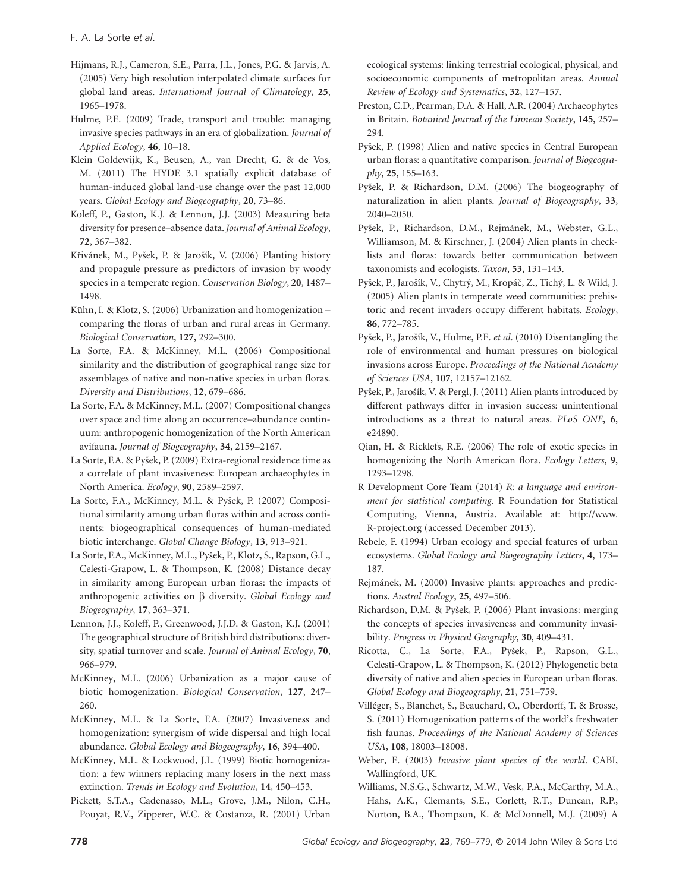- Hijmans, R.J., Cameron, S.E., Parra, J.L., Jones, P.G. & Jarvis, A. (2005) Very high resolution interpolated climate surfaces for global land areas. *International Journal of Climatology*, **25**, 1965–1978.
- Hulme, P.E. (2009) Trade, transport and trouble: managing invasive species pathways in an era of globalization. *Journal of Applied Ecology*, **46**, 10–18.
- Klein Goldewijk, K., Beusen, A., van Drecht, G. & de Vos, M. (2011) The HYDE 3.1 spatially explicit database of human-induced global land-use change over the past 12,000 years. *Global Ecology and Biogeography*, **20**, 73–86.
- Koleff, P., Gaston, K.J. & Lennon, J.J. (2003) Measuring beta diversity for presence–absence data.*Journal of Animal Ecology*, **72**, 367–382.
- Křivánek, M., Pyšek, P. & Jarošík, V. (2006) Planting history and propagule pressure as predictors of invasion by woody species in a temperate region. *Conservation Biology*, **20**, 1487– 1498.
- Kühn, I. & Klotz, S. (2006) Urbanization and homogenization comparing the floras of urban and rural areas in Germany. *Biological Conservation*, **127**, 292–300.
- La Sorte, F.A. & McKinney, M.L. (2006) Compositional similarity and the distribution of geographical range size for assemblages of native and non-native species in urban floras. *Diversity and Distributions*, **12**, 679–686.
- La Sorte, F.A. & McKinney, M.L. (2007) Compositional changes over space and time along an occurrence–abundance continuum: anthropogenic homogenization of the North American avifauna. *Journal of Biogeography*, **34**, 2159–2167.
- La Sorte, F.A. & Pyšek, P. (2009) Extra-regional residence time as a correlate of plant invasiveness: European archaeophytes in North America. *Ecology*, **90**, 2589–2597.
- La Sorte, F.A., McKinney, M.L. & Pyšek, P. (2007) Compositional similarity among urban floras within and across continents: biogeographical consequences of human-mediated biotic interchange. *Global Change Biology*, **13**, 913–921.
- La Sorte, F.A., McKinney, M.L., Pyšek, P., Klotz, S., Rapson, G.L., Celesti-Grapow, L. & Thompson, K. (2008) Distance decay in similarity among European urban floras: the impacts of anthropogenic activities on β diversity. *Global Ecology and Biogeography*, **17**, 363–371.
- Lennon, J.J., Koleff, P., Greenwood, J.J.D. & Gaston, K.J. (2001) The geographical structure of British bird distributions: diversity, spatial turnover and scale. *Journal of Animal Ecology*, **70**, 966–979.
- McKinney, M.L. (2006) Urbanization as a major cause of biotic homogenization. *Biological Conservation*, **127**, 247– 260.
- McKinney, M.L. & La Sorte, F.A. (2007) Invasiveness and homogenization: synergism of wide dispersal and high local abundance. *Global Ecology and Biogeography*, **16**, 394–400.
- McKinney, M.L. & Lockwood, J.L. (1999) Biotic homogenization: a few winners replacing many losers in the next mass extinction. *Trends in Ecology and Evolution*, **14**, 450–453.
- Pickett, S.T.A., Cadenasso, M.L., Grove, J.M., Nilon, C.H., Pouyat, R.V., Zipperer, W.C. & Costanza, R. (2001) Urban

ecological systems: linking terrestrial ecological, physical, and socioeconomic components of metropolitan areas. *Annual Review of Ecology and Systematics*, **32**, 127–157.

- Preston, C.D., Pearman, D.A. & Hall, A.R. (2004) Archaeophytes in Britain. *Botanical Journal of the Linnean Society*, **145**, 257– 294.
- Pyšek, P. (1998) Alien and native species in Central European urban floras: a quantitative comparison. *Journal of Biogeography*, **25**, 155–163.
- Pyšek, P. & Richardson, D.M. (2006) The biogeography of naturalization in alien plants. *Journal of Biogeography*, **33**, 2040–2050.
- Pyšek, P., Richardson, D.M., Rejmánek, M., Webster, G.L., Williamson, M. & Kirschner, J. (2004) Alien plants in checklists and floras: towards better communication between taxonomists and ecologists. *Taxon*, **53**, 131–143.
- Pyšek, P., Jarošík, V., Chytrý, M., Kropáč, Z., Tichý, L. & Wild, J. (2005) Alien plants in temperate weed communities: prehistoric and recent invaders occupy different habitats. *Ecology*, **86**, 772–785.
- Pyšek, P., Jarošík, V., Hulme, P.E. *et al*. (2010) Disentangling the role of environmental and human pressures on biological invasions across Europe. *Proceedings of the National Academy of Sciences USA*, **107**, 12157–12162.
- Pyšek, P., Jarošík, V. & Pergl, J. (2011) Alien plants introduced by different pathways differ in invasion success: unintentional introductions as a threat to natural areas. *PLoS ONE*, **6**, e24890.
- Qian, H. & Ricklefs, R.E. (2006) The role of exotic species in homogenizing the North American flora. *Ecology Letters*, **9**, 1293–1298.
- R Development Core Team (2014) *R: a language and environment for statistical computing*. R Foundation for Statistical Computing, Vienna, Austria. Available at: http://www. R-project.org (accessed December 2013).
- Rebele, F. (1994) Urban ecology and special features of urban ecosystems. *Global Ecology and Biogeography Letters*, **4**, 173– 187.
- Rejmánek, M. (2000) Invasive plants: approaches and predictions. *Austral Ecology*, **25**, 497–506.
- Richardson, D.M. & Pyšek, P. (2006) Plant invasions: merging the concepts of species invasiveness and community invasibility. *Progress in Physical Geography*, **30**, 409–431.
- Ricotta, C., La Sorte, F.A., Pyšek, P., Rapson, G.L., Celesti-Grapow, L. & Thompson, K. (2012) Phylogenetic beta diversity of native and alien species in European urban floras. *Global Ecology and Biogeography*, **21**, 751–759.
- Villéger, S., Blanchet, S., Beauchard, O., Oberdorff, T. & Brosse, S. (2011) Homogenization patterns of the world's freshwater fish faunas. *Proceedings of the National Academy of Sciences USA*, **108**, 18003–18008.
- Weber, E. (2003) *Invasive plant species of the world*. CABI, Wallingford, UK.
- Williams, N.S.G., Schwartz, M.W., Vesk, P.A., McCarthy, M.A., Hahs, A.K., Clemants, S.E., Corlett, R.T., Duncan, R.P., Norton, B.A., Thompson, K. & McDonnell, M.J. (2009) A